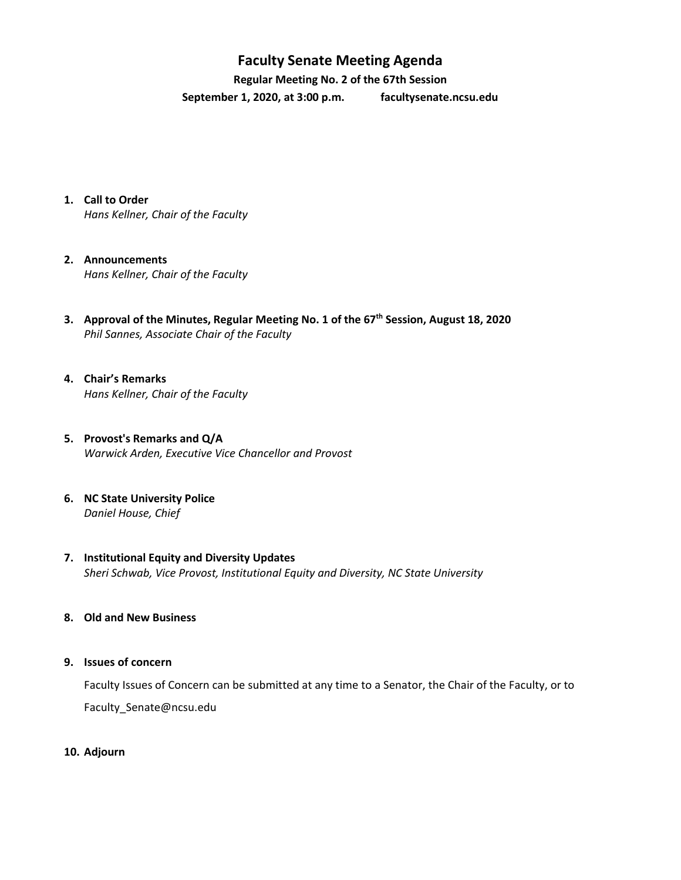## **Faculty Senate Meeting Agenda**

**Regular Meeting No. 2 of the 67th Session September 1, 2020, at 3:00 p.m. [facultysenate.ncsu.edu](https://facultysenate.ncsu.edu/)**

**1. Call to Order**

*Hans Kellner, Chair of the Faculty*

- **2. Announcements** *Hans Kellner, Chair of the Faculty*
- **3. Approval of the Minutes, Regular Meeting No. 1 of the 67 th Session, August 18, 2020** *Phil Sannes, Associate Chair of the Faculty*
- **4. Chair's Remarks** *Hans Kellner, Chair of the Faculty*
- **5. Provost's Remarks and Q/A** *Warwick Arden, Executive Vice Chancellor and Provost*
- **6. NC State University Police** *Daniel House, Chief*
- **7. Institutional Equity and Diversity Updates** *Sheri Schwab, Vice Provost, Institutional Equity and Diversity, NC State University*
- **8. Old and New Business**
- **9. Issues of concern**

Faculty Issues of Concern can be submitted at any time to a Senator, the Chair of the Faculty, or to [Faculty\\_Senate@ncsu.edu](mailto:Faculty_Senate@ncsu.edu)

**10. Adjourn**